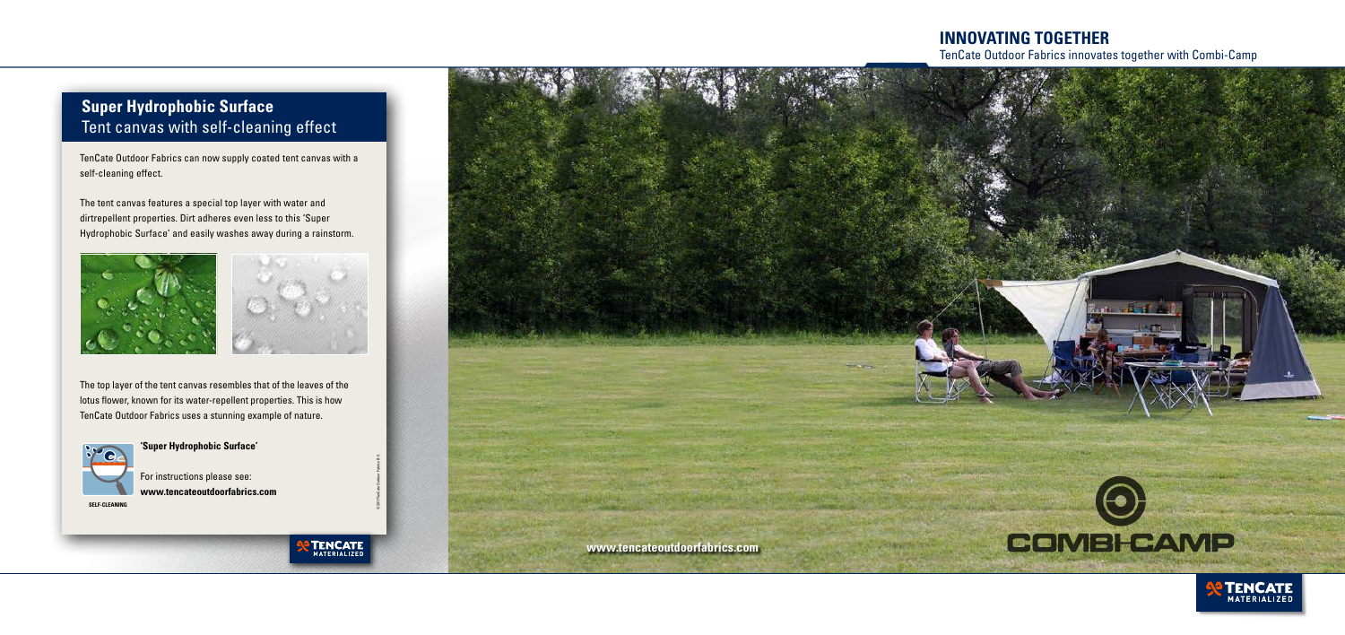

TenCate Outdoor Fabrics can now supply coated tent canvas with a self-cleaning effect.

The tent canvas features a special top layer with water and dirtrepellent properties. Dirt adheres even less to this 'Super Hydrophobic Surface' and easily washes away during a rainstorm.





The top layer of the tent canvas resembles that of the leaves of the lotus flower, known for its water-repellent properties. This is how TenCate Outdoor Fabrics uses a stunning example of nature.



#### **'Super Hydrophobic Surface'**

For instructions please see: **www.tencateoutdoorfabrics.com**

**SELF-CLEANING**

# **Super Hydrophobic Surface** Tent canvas with self-cleaning effect

© 2017 TenCate Outdoor Fabrics B.V.

**TENCATE** 

## **INNOVATING TOGETHER** TenCate Outdoor Fabrics innovates together with Combi-Camp